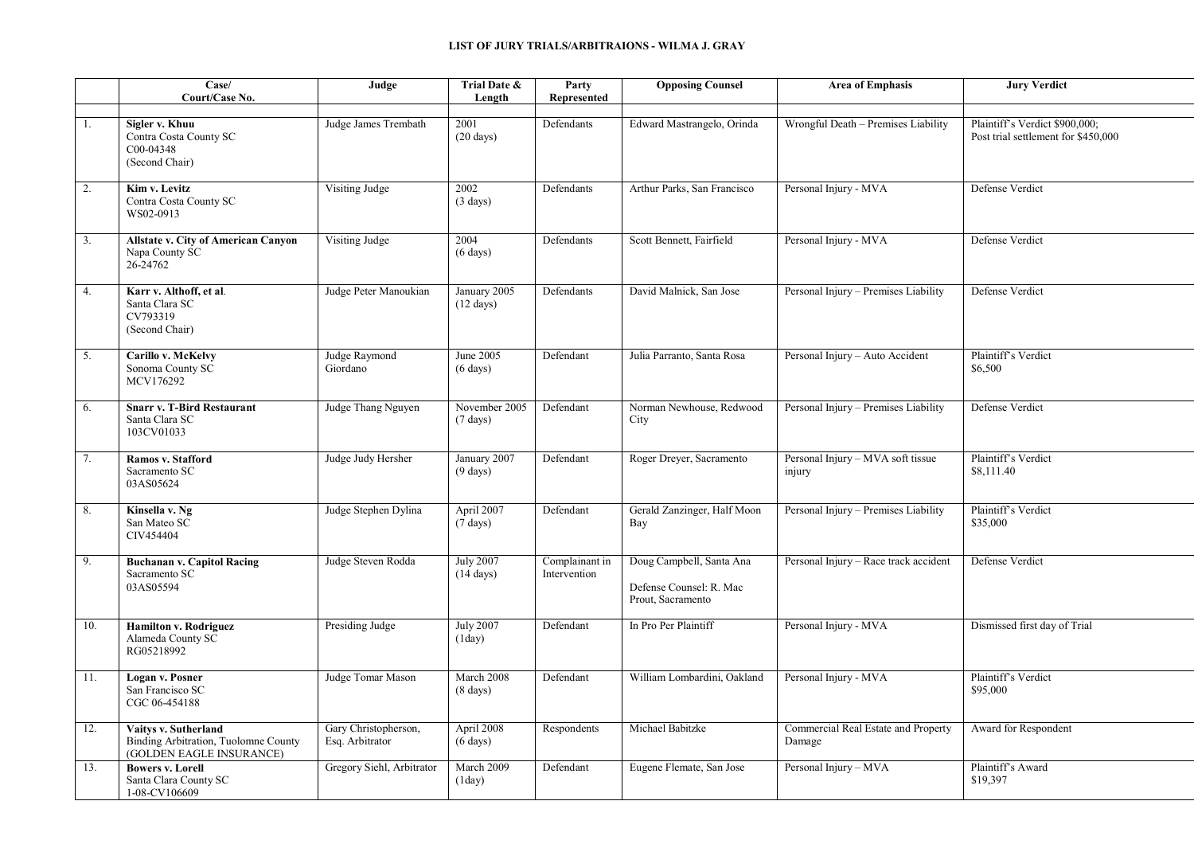|                  | Case/<br>Court/Case No.                                                                  | Judge                                   | Trial Date &<br>Length                  | Party<br>Represented           | <b>Opposing Counsel</b>                                                  | <b>Area of Emphasis</b>                       | <b>Jury Verdict</b>                                                   |
|------------------|------------------------------------------------------------------------------------------|-----------------------------------------|-----------------------------------------|--------------------------------|--------------------------------------------------------------------------|-----------------------------------------------|-----------------------------------------------------------------------|
| 1.               | Sigler v. Khuu<br>Contra Costa County SC<br>C00-04348<br>(Second Chair)                  | Judge James Trembath                    | 2001<br>$(20 \text{ days})$             | Defendants                     | Edward Mastrangelo, Orinda                                               | Wrongful Death - Premises Liability           | Plaintiff's Verdict \$900,000;<br>Post trial settlement for \$450,000 |
| 2.               | Kim v. Levitz<br>Contra Costa County SC<br>WS02-0913                                     | Visiting Judge                          | 2002<br>$(3 \text{ days})$              | Defendants                     | Arthur Parks, San Francisco                                              | Personal Injury - MVA                         | Defense Verdict                                                       |
| $\overline{3}$ . | Allstate v. City of American Canyon<br>Napa County SC<br>26-24762                        | Visiting Judge                          | 2004<br>$(6 \text{ days})$              | Defendants                     | Scott Bennett, Fairfield                                                 | Personal Injury - MVA                         | Defense Verdict                                                       |
| 4.               | Karr v. Althoff, et al.<br>Santa Clara SC<br>CV793319<br>(Second Chair)                  | Judge Peter Manoukian                   | January 2005<br>$(12 \text{ days})$     | Defendants                     | David Malnick, San Jose                                                  | Personal Injury - Premises Liability          | Defense Verdict                                                       |
| 5.               | Carillo v. McKelvy<br>Sonoma County SC<br>MCV176292                                      | Judge Raymond<br>Giordano               | June 2005<br>$(6 \text{ days})$         | Defendant                      | Julia Parranto, Santa Rosa                                               | Personal Injury - Auto Accident               | Plaintiff's Verdict<br>\$6,500                                        |
| 6.               | <b>Snarr v. T-Bird Restaurant</b><br>Santa Clara SC<br>103CV01033                        | Judge Thang Nguyen                      | November 2005<br>$(7 \text{ days})$     | Defendant                      | Norman Newhouse, Redwood<br>City                                         | Personal Injury - Premises Liability          | Defense Verdict                                                       |
| 7.               | Ramos v. Stafford<br>Sacramento SC<br>03AS05624                                          | Judge Judy Hersher                      | January 2007<br>$(9 \text{ days})$      | Defendant                      | Roger Dreyer, Sacramento                                                 | Personal Injury - MVA soft tissue<br>injury   | Plaintiff's Verdict<br>\$8,111.40                                     |
| 8.               | Kinsella v. Ng<br>San Mateo SC<br>CIV454404                                              | Judge Stephen Dylina                    | April 2007<br>$(7 \text{ days})$        | Defendant                      | Gerald Zanzinger, Half Moon<br>Bay                                       | Personal Injury - Premises Liability          | Plaintiff's Verdict<br>\$35,000                                       |
| 9.               | <b>Buchanan v. Capitol Racing</b><br>Sacramento SC<br>03AS05594                          | Judge Steven Rodda                      | <b>July 2007</b><br>$(14 \text{ days})$ | Complainant in<br>Intervention | Doug Campbell, Santa Ana<br>Defense Counsel: R. Mac<br>Prout, Sacramento | Personal Injury - Race track accident         | Defense Verdict                                                       |
| 10.              | Hamilton v. Rodriguez<br>Alameda County SC<br>RG05218992                                 | Presiding Judge                         | <b>July 2007</b><br>(1day)              | Defendant                      | In Pro Per Plaintiff                                                     | Personal Injury - MVA                         | Dismissed first day of Trial                                          |
| 11.              | Logan v. Posner<br>San Francisco SC<br>CGC 06-454188                                     | Judge Tomar Mason                       | March 2008<br>$(8 \text{ days})$        | Defendant                      | William Lombardini, Oakland                                              | Personal Injury - MVA                         | Plaintiff's Verdict<br>\$95,000                                       |
| 12.              | Vaitys v. Sutherland<br>Binding Arbitration, Tuolomne County<br>(GOLDEN EAGLE INSURANCE) | Gary Christopherson,<br>Esq. Arbitrator | April 2008<br>$(6 \text{ days})$        | Respondents                    | Michael Babitzke                                                         | Commercial Real Estate and Property<br>Damage | Award for Respondent                                                  |
| 13.              | <b>Bowers v. Lorell</b><br>Santa Clara County SC<br>1-08-CV106609                        | Gregory Siehl, Arbitrator               | March 2009<br>(1day)                    | Defendant                      | Eugene Flemate, San Jose                                                 | Personal Injury - MVA                         | Plaintiff's Award<br>\$19,397                                         |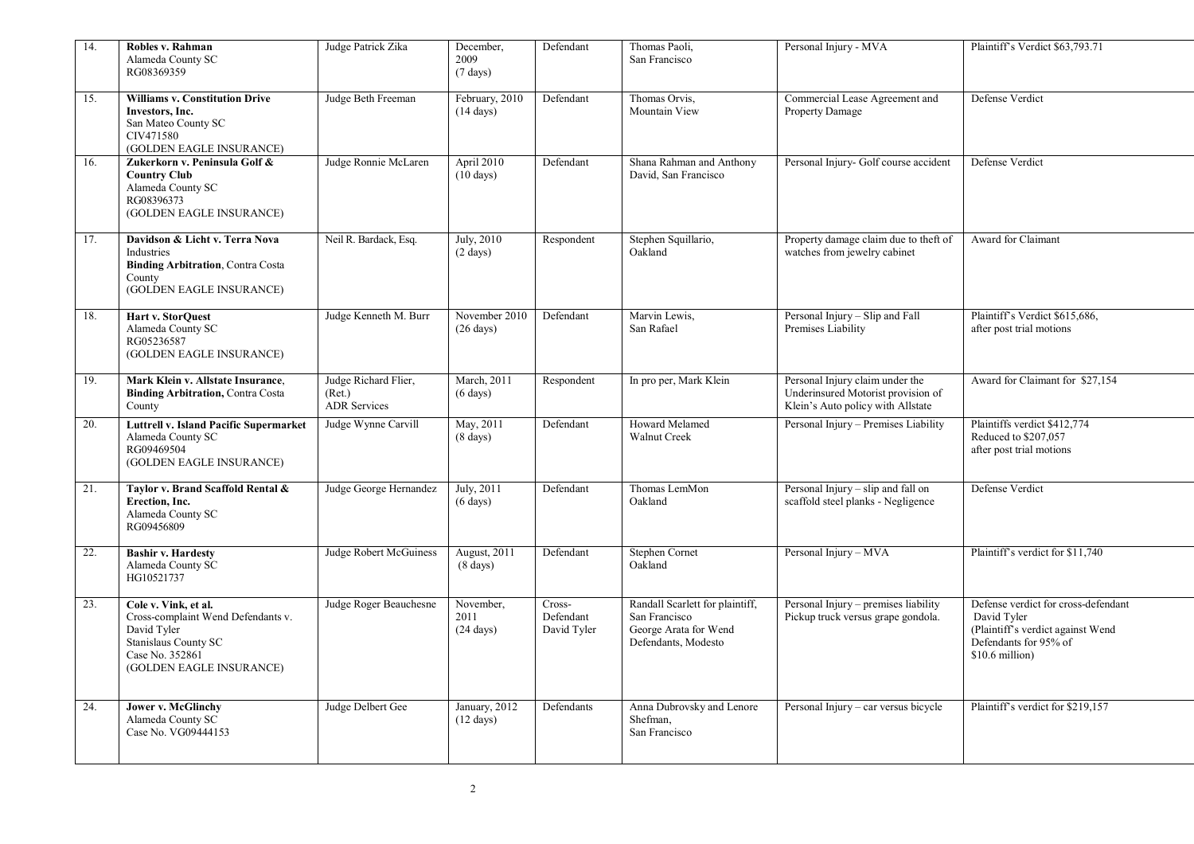| 14. | Robles v. Rahman<br>Alameda County SC<br>RG08369359                                                                                              | Judge Patrick Zika                                    | December,<br>2009<br>$(7 \text{ days})$    | Defendant                          | Thomas Paoli,<br>San Francisco                                                                   | Personal Injury - MVA                                                                                      | Plaintiff's Verdict \$63,793.71                                                                                                     |
|-----|--------------------------------------------------------------------------------------------------------------------------------------------------|-------------------------------------------------------|--------------------------------------------|------------------------------------|--------------------------------------------------------------------------------------------------|------------------------------------------------------------------------------------------------------------|-------------------------------------------------------------------------------------------------------------------------------------|
| 15. | <b>Williams v. Constitution Drive</b><br>Investors, Inc.<br>San Mateo County SC<br>CIV471580<br>(GOLDEN EAGLE INSURANCE)                         | Judge Beth Freeman                                    | February, 2010<br>$(14 \text{ days})$      | Defendant                          | Thomas Orvis,<br>Mountain View                                                                   | Commercial Lease Agreement and<br>Property Damage                                                          | Defense Verdict                                                                                                                     |
| 16. | Zukerkorn v. Peninsula Golf &<br><b>Country Club</b><br>Alameda County SC<br>RG08396373<br>(GOLDEN EAGLE INSURANCE)                              | Judge Ronnie McLaren                                  | April 2010<br>$(10 \text{ days})$          | Defendant                          | Shana Rahman and Anthony<br>David, San Francisco                                                 | Personal Injury- Golf course accident                                                                      | Defense Verdict                                                                                                                     |
| 17. | Davidson & Licht v. Terra Nova<br>Industries<br><b>Binding Arbitration, Contra Costa</b><br>County<br>(GOLDEN EAGLE INSURANCE)                   | Neil R. Bardack, Esq.                                 | July, 2010<br>$(2 \text{ days})$           | Respondent                         | Stephen Squillario,<br>Oakland                                                                   | Property damage claim due to theft of<br>watches from jewelry cabinet                                      | Award for Claimant                                                                                                                  |
| 18. | Hart v. StorQuest<br>Alameda County SC<br>RG05236587<br>(GOLDEN EAGLE INSURANCE)                                                                 | Judge Kenneth M. Burr                                 | November 2010<br>$(26 \text{ days})$       | Defendant                          | Marvin Lewis,<br>San Rafael                                                                      | Personal Injury - Slip and Fall<br>Premises Liability                                                      | Plaintiff's Verdict \$615,686.<br>after post trial motions                                                                          |
| 19. | Mark Klein v. Allstate Insurance,<br><b>Binding Arbitration, Contra Costa</b><br>County                                                          | Judge Richard Flier,<br>(Ret.)<br><b>ADR Services</b> | March, 2011<br>$(6 \text{ days})$          | Respondent                         | In pro per, Mark Klein                                                                           | Personal Injury claim under the<br>Underinsured Motorist provision of<br>Klein's Auto policy with Allstate | Award for Claimant for \$27,154                                                                                                     |
| 20. | <b>Luttrell v. Island Pacific Supermarket</b><br>Alameda County SC<br>RG09469504<br>(GOLDEN EAGLE INSURANCE)                                     | Judge Wynne Carvill                                   | May, 2011<br>$(8 \text{ days})$            | Defendant                          | Howard Melamed<br>Walnut Creek                                                                   | Personal Injury - Premises Liability                                                                       | Plaintiffs verdict \$412,774<br>Reduced to \$207,057<br>after post trial motions                                                    |
| 21. | Taylor v. Brand Scaffold Rental &<br>Erection, Inc.<br>Alameda County SC<br>RG09456809                                                           | Judge George Hernandez                                | July, 2011<br>$(6 \text{ days})$           | Defendant                          | Thomas LemMon<br>Oakland                                                                         | Personal Injury - slip and fall on<br>scaffold steel planks - Negligence                                   | Defense Verdict                                                                                                                     |
| 22. | <b>Bashir v. Hardesty</b><br>Alameda County SC<br>HG10521737                                                                                     | Judge Robert McGuiness                                | <b>August</b> , 2011<br>$(8 \text{ days})$ | Defendant                          | <b>Stephen Cornet</b><br>Oakland                                                                 | Personal Injury - MVA                                                                                      | Plaintiff's verdict for \$11,740                                                                                                    |
| 23. | Cole v. Vink, et al.<br>Cross-complaint Wend Defendants v.<br>David Tyler<br>Stanislaus County SC<br>Case No. 352861<br>(GOLDEN EAGLE INSURANCE) | Judge Roger Beauchesne                                | November,<br>2011<br>$(24 \text{ days})$   | Cross-<br>Defendant<br>David Tyler | Randall Scarlett for plaintiff,<br>San Francisco<br>George Arata for Wend<br>Defendants, Modesto | Personal Injury - premises liability<br>Pickup truck versus grape gondola.                                 | Defense verdict for cross-defendant<br>David Tyler<br>(Plaintiff's verdict against Wend<br>Defendants for 95% of<br>\$10.6 million) |
| 24. | <b>Jower v. McGlinchy</b><br>Alameda County SC<br>Case No. VG09444153                                                                            | Judge Delbert Gee                                     | January, 2012<br>$(12 \text{ days})$       | Defendants                         | Anna Dubrovsky and Lenore<br>Shefman,<br>San Francisco                                           | Personal Injury – car versus bicycle                                                                       | Plaintiff's verdict for \$219,157                                                                                                   |